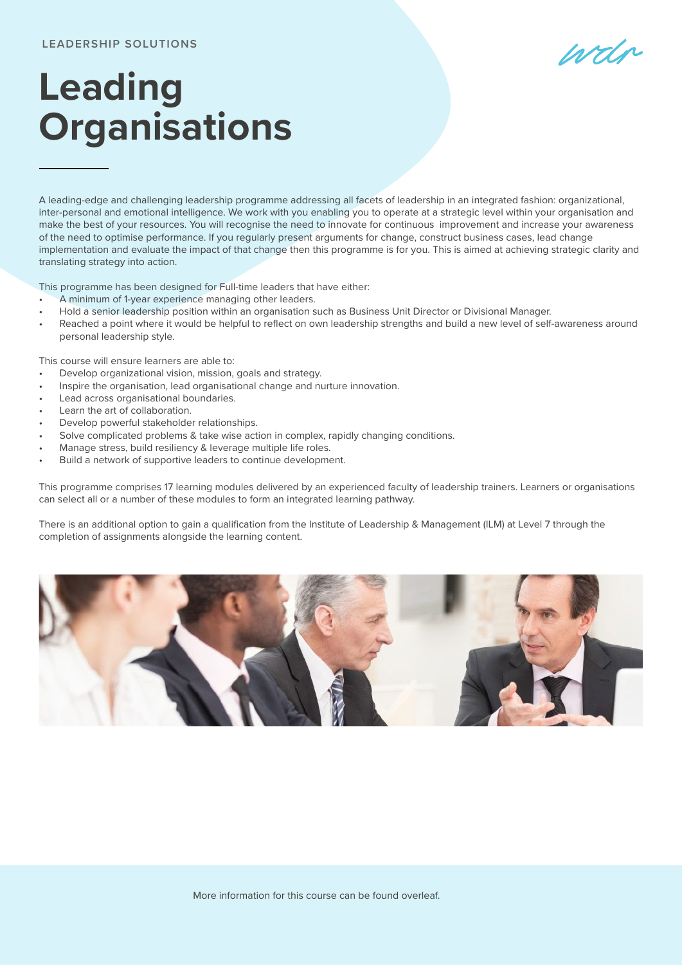## **LEADERSHIP SOLUTIONS**

wdr

## **Leading Organisations**

A leading-edge and challenging leadership programme addressing all facets of leadership in an integrated fashion: organizational, inter-personal and emotional intelligence. We work with you enabling you to operate at a strategic level within your organisation and make the best of your resources. You will recognise the need to innovate for continuous improvement and increase your awareness of the need to optimise performance. If you regularly present arguments for change, construct business cases, lead change implementation and evaluate the impact of that change then this programme is for you. This is aimed at achieving strategic clarity and translating strategy into action.

This programme has been designed for Full-time leaders that have either:

- A minimum of 1-year experience managing other leaders.
- Hold a senior leadership position within an organisation such as Business Unit Director or Divisional Manager.
- Reached a point where it would be helpful to reflect on own leadership strengths and build a new level of self-awareness around personal leadership style.

This course will ensure learners are able to:

- Develop organizational vision, mission, goals and strategy.
- Inspire the organisation, lead organisational change and nurture innovation.
- Lead across organisational boundaries.
- Learn the art of collaboration.
- Develop powerful stakeholder relationships.
- Solve complicated problems & take wise action in complex, rapidly changing conditions.
- Manage stress, build resiliency & leverage multiple life roles.
- Build a network of supportive leaders to continue development.

This programme comprises 17 learning modules delivered by an experienced faculty of leadership trainers. Learners or organisations can select all or a number of these modules to form an integrated learning pathway.

There is an additional option to gain a qualification from the Institute of Leadership & Management (ILM) at Level 7 through the completion of assignments alongside the learning content.